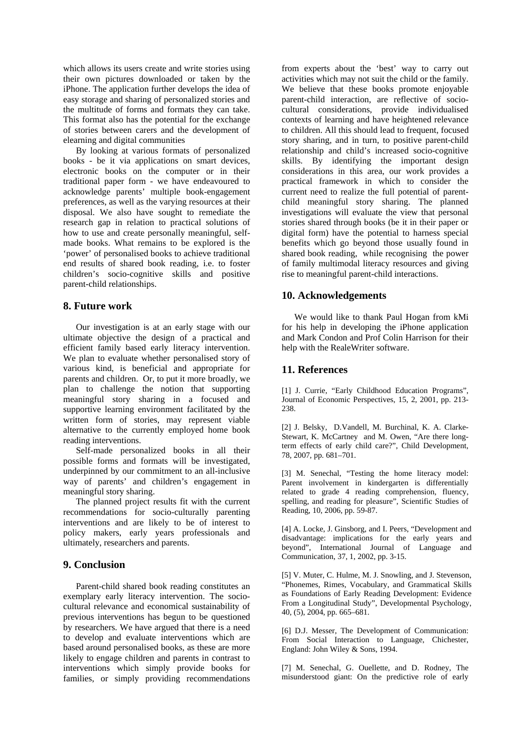which allows its users create and write stories using their own pictures downloaded or taken by the iPhone. The application further develops the idea of easy storage and sharing of personalized stories and the multitude of forms and formats they can take. This format also has the potential for the exchange of stories between carers and the development of elearning and digital communities

By looking at various formats of personalized books - be it via applications on smart devices, electronic books on the computer or in their traditional paper form - we have endeavoured to acknowledge parents' multiple book-engagement preferences, as well as the varying resources at their disposal. We also have sought to remediate the research gap in relation to practical solutions of how to use and create personally meaningful, selfmade books. What remains to be explored is the 'power' of personalised books to achieve traditional end results of shared book reading, i.e. to foster children's socio-cognitive skills and positive parent-child relationships.

## **8. Future work**

Our investigation is at an early stage with our ultimate objective the design of a practical and efficient family based early literacy intervention. We plan to evaluate whether personalised story of various kind, is beneficial and appropriate for parents and children. Or, to put it more broadly, we plan to challenge the notion that supporting meaningful story sharing in a focused and supportive learning environment facilitated by the written form of stories, may represent viable alternative to the currently employed home book reading interventions.

Self-made personalized books in all their possible forms and formats will be investigated, underpinned by our commitment to an all-inclusive way of parents' and children's engagement in meaningful story sharing.

The planned project results fit with the current recommendations for socio-culturally parenting interventions and are likely to be of interest to policy makers, early years professionals and ultimately, researchers and parents.

## **9. Conclusion**

Parent-child shared book reading constitutes an exemplary early literacy intervention. The sociocultural relevance and economical sustainability of previous interventions has begun to be questioned by researchers. We have argued that there is a need to develop and evaluate interventions which are based around personalised books, as these are more likely to engage children and parents in contrast to interventions which simply provide books for families, or simply providing recommendations

from experts about the 'best' way to carry out activities which may not suit the child or the family. We believe that these books promote enjoyable parent-child interaction, are reflective of sociocultural considerations, provide individualised contexts of learning and have heightened relevance to children. All this should lead to frequent, focused story sharing, and in turn, to positive parent-child relationship and child's increased socio-cognitive skills. By identifying the important design considerations in this area, our work provides a practical framework in which to consider the current need to realize the full potential of parentchild meaningful story sharing. The planned investigations will evaluate the view that personal stories shared through books (be it in their paper or digital form) have the potential to harness special benefits which go beyond those usually found in shared book reading, while recognising the power of family multimodal literacy resources and giving rise to meaningful parent-child interactions.

## **10. Acknowledgements**

We would like to thank Paul Hogan from kMi for his help in developing the iPhone application and Mark Condon and Prof Colin Harrison for their help with the RealeWriter software.

## **11. References**

[1] J. Currie, "Early Childhood Education Programs", Journal of Economic Perspectives, 15, 2, 2001, pp. 213- 238.

[2] J. Belsky, D.Vandell, M. Burchinal, K. A. Clarke-Stewart, K. McCartney and M. Owen, "Are there longterm effects of early child care?", Child Development, 78, 2007, pp. 681–701.

[3] M. Senechal, "Testing the home literacy model: Parent involvement in kindergarten is differentially related to grade 4 reading comprehension, fluency, spelling, and reading for pleasure", Scientific Studies of Reading, 10, 2006, pp. 59-87.

[4] A. Locke, J. Ginsborg, and I. Peers, "Development and disadvantage: implications for the early years and beyond", International Journal of Language and Communication, 37, 1, 2002, pp. 3-15.

[5] V. Muter, C. Hulme, M. J. Snowling, and J. Stevenson, "Phonemes, Rimes, Vocabulary, and Grammatical Skills as Foundations of Early Reading Development: Evidence From a Longitudinal Study", Developmental Psychology, 40, (5), 2004, pp. 665–681.

[6] D.J. Messer, The Development of Communication: From Social Interaction to Language, Chichester, England: John Wiley & Sons, 1994.

[7] M. Senechal, G. Ouellette, and D. Rodney, The misunderstood giant: On the predictive role of early